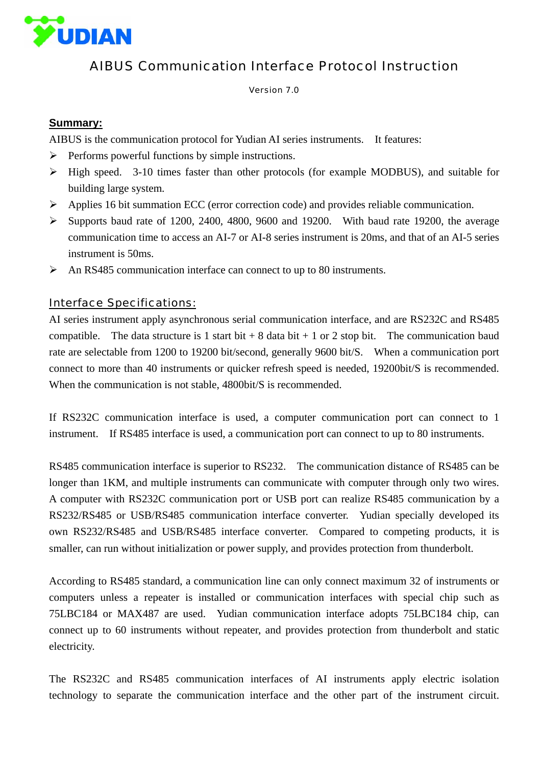

# AIBUS Communication Interface Protocol Instruction

Version 7.0

## **Summary:**

AIBUS is the communication protocol for Yudian AI series instruments. It features:

- $\triangleright$  Performs powerful functions by simple instructions.
- ¾ High speed. 3-10 times faster than other protocols (for example MODBUS), and suitable for building large system.
- ¾ Applies 16 bit summation ECC (error correction code) and provides reliable communication.
- $\triangleright$  Supports baud rate of 1200, 2400, 4800, 9600 and 19200. With baud rate 19200, the average communication time to access an AI-7 or AI-8 series instrument is 20ms, and that of an AI-5 series instrument is 50ms.
- $\triangleright$  An RS485 communication interface can connect to up to 80 instruments.

## Interface Specifications:

AI series instrument apply asynchronous serial communication interface, and are RS232C and RS485 compatible. The data structure is 1 start bit  $+ 8$  data bit  $+ 1$  or 2 stop bit. The communication baud rate are selectable from 1200 to 19200 bit/second, generally 9600 bit/S. When a communication port connect to more than 40 instruments or quicker refresh speed is needed, 19200bit/S is recommended. When the communication is not stable, 4800bit/S is recommended.

If RS232C communication interface is used, a computer communication port can connect to 1 instrument. If RS485 interface is used, a communication port can connect to up to 80 instruments.

RS485 communication interface is superior to RS232. The communication distance of RS485 can be longer than 1KM, and multiple instruments can communicate with computer through only two wires. A computer with RS232C communication port or USB port can realize RS485 communication by a RS232/RS485 or USB/RS485 communication interface converter. Yudian specially developed its own RS232/RS485 and USB/RS485 interface converter. Compared to competing products, it is smaller, can run without initialization or power supply, and provides protection from thunderbolt.

According to RS485 standard, a communication line can only connect maximum 32 of instruments or computers unless a repeater is installed or communication interfaces with special chip such as 75LBC184 or MAX487 are used. Yudian communication interface adopts 75LBC184 chip, can connect up to 60 instruments without repeater, and provides protection from thunderbolt and static electricity.

The RS232C and RS485 communication interfaces of AI instruments apply electric isolation technology to separate the communication interface and the other part of the instrument circuit.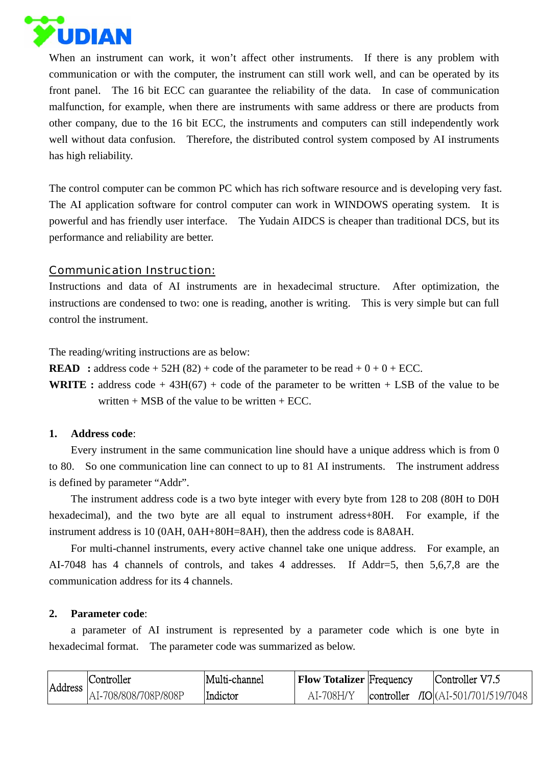

When an instrument can work, it won't affect other instruments. If there is any problem with communication or with the computer, the instrument can still work well, and can be operated by its front panel. The 16 bit ECC can guarantee the reliability of the data. In case of communication malfunction, for example, when there are instruments with same address or there are products from other company, due to the 16 bit ECC, the instruments and computers can still independently work well without data confusion. Therefore, the distributed control system composed by AI instruments has high reliability.

The control computer can be common PC which has rich software resource and is developing very fast. The AI application software for control computer can work in WINDOWS operating system. It is powerful and has friendly user interface. The Yudain AIDCS is cheaper than traditional DCS, but its performance and reliability are better.

### Communication Instruction:

Instructions and data of AI instruments are in hexadecimal structure. After optimization, the instructions are condensed to two: one is reading, another is writing. This is very simple but can full control the instrument.

The reading/writing instructions are as below:

**READ** : address code + 52H (82) + code of the parameter to be read +  $0 + 0 +$  ECC.

**WRITE**: address code + 43H(67) + code of the parameter to be written + LSB of the value to be written  $+$  MSB of the value to be written  $+$  ECC.

### **1. Address code**:

Every instrument in the same communication line should have a unique address which is from 0 to 80. So one communication line can connect to up to 81 AI instruments. The instrument address is defined by parameter "Addr".

The instrument address code is a two byte integer with every byte from 128 to 208 (80H to D0H hexadecimal), and the two byte are all equal to instrument adress+80H. For example, if the instrument address is 10 (0AH, 0AH+80H=8AH), then the address code is 8A8AH.

For multi-channel instruments, every active channel take one unique address. For example, an AI-7048 has 4 channels of controls, and takes 4 addresses. If Addr=5, then 5,6,7,8 are the communication address for its 4 channels.

### **2. Parameter code**:

a parameter of AI instrument is represented by a parameter code which is one byte in hexadecimal format. The parameter code was summarized as below.

| Address | Controller           | Multi-channel | <b>Flow Totalizer</b> Frequency | Controller V7.5                        |
|---------|----------------------|---------------|---------------------------------|----------------------------------------|
|         | AI-708/808/708P/808P | Indictor      | AI-708H/Y                       | controller $\pi$ O(AI-501/701/519/7048 |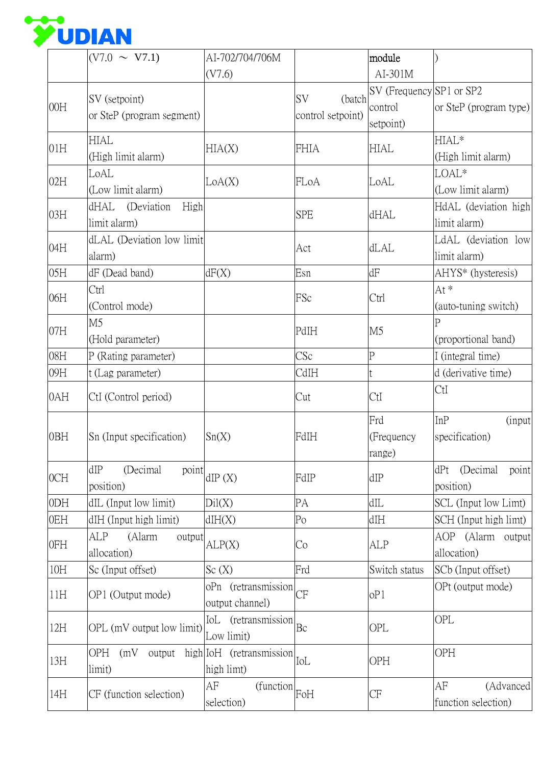

|     | $(V7.0 \sim V7.1)$                                | AI-702/704/706M<br>(V7.6)              |                                          | module<br>$AI-301M$                              |                                         |
|-----|---------------------------------------------------|----------------------------------------|------------------------------------------|--------------------------------------------------|-----------------------------------------|
| 00H | SV (setpoint)<br>or SteP (program segment)        |                                        | <b>SV</b><br>(batch<br>control setpoint) | SV (Frequency SP1 or SP2<br>control<br>setpoint) | or SteP (program type)                  |
| 01H | <b>HIAL</b><br>(High limit alarm)                 | HIA(X)                                 | <b>FHIA</b>                              | <b>HIAL</b>                                      | HIAL*<br>(High limit alarm)             |
| 02H | LoAL<br>(Low limit alarm)                         | LoA(X)                                 | FLoA                                     | LoAL                                             | LOAL*<br>(Low limit alarm)              |
| 03H | dHAL (Deviation<br>High<br>limit alarm)           |                                        | <b>SPE</b>                               | dHAL                                             | HdAL (deviation high<br>limit alarm)    |
| 04H | dLAL (Deviation low limit<br>alarm)               |                                        | Act                                      | d <sub>LAL</sub>                                 | LdAL (deviation low<br>limit alarm)     |
| 05H | dF (Dead band)                                    | dF(X)                                  | Esn                                      | dF                                               | AHYS <sup>*</sup> (hysteresis)          |
| 06H | Ctrl<br>(Control mode)                            |                                        | FSc                                      | Ctrl                                             | At *<br>(auto-tuning switch)            |
| 07H | M <sub>5</sub><br>(Hold parameter)                |                                        | PdIH                                     | M <sub>5</sub>                                   | P<br>(proportional band)                |
| 08H | P (Rating parameter)                              |                                        | CSc                                      | $\mathbf P$                                      | I (integral time)                       |
| 09H | t (Lag parameter)                                 |                                        | CdIH                                     |                                                  | d (derivative time)                     |
| 0AH | CtI (Control period)                              |                                        | Cut                                      | CtI                                              | CtI                                     |
| 0BH | Sn (Input specification)                          | Sn(X)                                  | FdIH                                     | Frd<br>(Frequency<br>range)                      | InP<br><i>(input)</i><br>specification) |
| OCH | (Decimal<br>dIP<br>point<br>position)             | dIP(X)                                 | FdIP                                     | dIP                                              | (Decimal)<br>point<br>dPt<br>position)  |
| 0DH | dIL (Input low limit)                             | Dil(X)                                 | PA                                       | dIL                                              | SCL (Input low Limt)                    |
| 0EH | dIH (Input high limit)                            | dH(X)                                  | Po                                       | dIH                                              | SCH (Input high limt)                   |
| 0FH | ALP<br>(Alarm<br>output<br>allocation)            | ALP(X)                                 | Co                                       | ALP                                              | AOP (Alarm output<br>allocation)        |
| 10H | Sc (Input offset)                                 | Sc(X)                                  | Frd                                      | Switch status                                    | SCb (Input offset)                      |
| 11H | OP1 (Output mode)                                 | oPn (retransmission<br>output channel) | СF                                       | oP1                                              | OPt (output mode)                       |
| 12H | OPL (mV output low limit)                         | IoL (retransmission<br>Low limit)      | Bc                                       | OPL                                              | OPL                                     |
| 13H | OPH (mV output high IoH (retransmission<br>limit) | high limt)                             | IoL                                      | OPH                                              | OPH                                     |
| 14H | CF (function selection)                           | AF<br>(function<br>selection)          | FoH                                      | CF                                               | AF<br>(Advanced<br>function selection)  |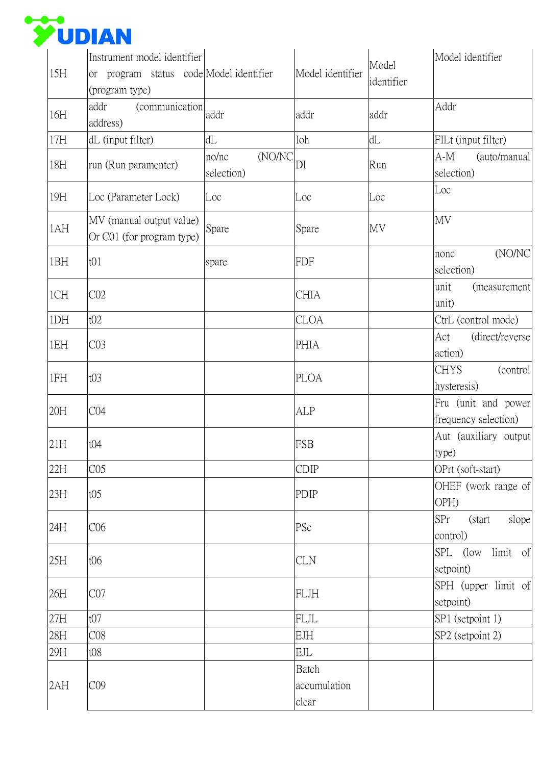

| 15H | Instrument model identifier<br>program status code Model identifier<br><sub>or</sub><br>(program type) |                               | Model identifier               | Model<br>identifier | Model identifier                            |
|-----|--------------------------------------------------------------------------------------------------------|-------------------------------|--------------------------------|---------------------|---------------------------------------------|
| 16H | (communication<br>addr<br>address)                                                                     | addr                          | addr                           | addr                | Addr                                        |
| 17H | dL (input filter)                                                                                      | dL                            | Ioh                            | dL                  | FILt (input filter)                         |
| 18H | run (Run paramenter)                                                                                   | (NO/NC<br>no/nc<br>selection) | DI                             | Run                 | (auto/manual<br>A-M<br>selection)           |
| 19H | Loc (Parameter Lock)                                                                                   | Loc                           | Loc                            | Loc                 | Loc                                         |
| 1AH | MV (manual output value)<br>Or C01 (for program type)                                                  | Spare                         | Spare                          | MV                  | MV                                          |
| 1BH | t01                                                                                                    | spare                         | <b>FDF</b>                     |                     | (NO/NC<br>nonc<br>selection)                |
| 1CH | CO <sub>2</sub>                                                                                        |                               | CHIA                           |                     | unit<br>(measurement<br>unit)               |
| 1DH | t02                                                                                                    |                               | <b>CLOA</b>                    |                     | CtrL (control mode)                         |
| 1EH | CO <sub>3</sub>                                                                                        |                               | <b>PHIA</b>                    |                     | (direct/reverse<br>Act<br>action)           |
| 1FH | t03                                                                                                    |                               | <b>PLOA</b>                    |                     | <b>CHYS</b><br>(control<br>hysteresis)      |
| 20H | CO4                                                                                                    |                               | <b>ALP</b>                     |                     | Fru (unit and power<br>frequency selection) |
| 21H | t04                                                                                                    |                               | <b>FSB</b>                     |                     | Aut (auxiliary output<br>type)              |
| 22H | CO <sub>5</sub>                                                                                        |                               | <b>CDIP</b>                    |                     | OPrt (soft-start)                           |
| 23H | t05                                                                                                    |                               | <b>PDIP</b>                    |                     | OHEF (work range of<br>OPH)                 |
| 24H | C <sub>06</sub>                                                                                        |                               | PSc                            |                     | SPr<br>slope<br>(start)<br>control)         |
| 25H | t06                                                                                                    |                               | <b>CLN</b>                     |                     | SPL (low limit of<br>setpoint)              |
| 26H | CO7                                                                                                    |                               | <b>FLJH</b>                    |                     | SPH (upper limit of<br>setpoint)            |
| 27H | t07                                                                                                    |                               | <b>FLJL</b>                    |                     | SP1 (setpoint 1)                            |
| 28H | CO8                                                                                                    |                               | <b>EJH</b>                     |                     | SP2 (setpoint 2)                            |
| 29H | t08                                                                                                    |                               | <b>EJL</b>                     |                     |                                             |
| 2AH | CO9                                                                                                    |                               | Batch<br>accumulation<br>clear |                     |                                             |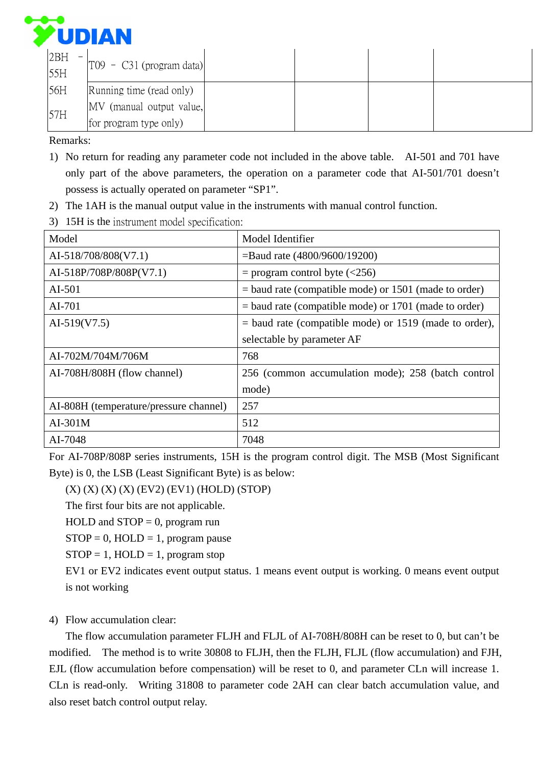

| 2BH<br>55H | $\begin{bmatrix} 109 - C31 \end{bmatrix}$ (program data) |  |  |
|------------|----------------------------------------------------------|--|--|
| 56H        | Running time (read only)                                 |  |  |
| 57H        | MV (manual output value,                                 |  |  |
|            | for program type only)                                   |  |  |

Remarks:

- 1) No return for reading any parameter code not included in the above table. AI-501 and 701 have only part of the above parameters, the operation on a parameter code that AI-501/701 doesn't possess is actually operated on parameter "SP1".
- 2) The 1AH is the manual output value in the instruments with manual control function.
- 3) 15H is the instrument model specification:

| Model                                  | Model Identifier                                         |
|----------------------------------------|----------------------------------------------------------|
| AI-518/708/808(V7.1)                   | $=$ Baud rate (4800/9600/19200)                          |
| AI-518P/708P/808P(V7.1)                | $=$ program control byte ( $\langle$ 256)                |
| $AI-501$                               | $=$ baud rate (compatible mode) or 1501 (made to order)  |
| AI-701                                 | $=$ baud rate (compatible mode) or 1701 (made to order)  |
| AI-519 $(V7.5)$                        | $=$ baud rate (compatible mode) or 1519 (made to order), |
|                                        | selectable by parameter AF                               |
| AI-702M/704M/706M                      | 768                                                      |
| AI-708H/808H (flow channel)            | 256 (common accumulation mode); 258 (batch control       |
|                                        | mode)                                                    |
| AI-808H (temperature/pressure channel) | 257                                                      |
| $AI-301M$                              | 512                                                      |
| AI-7048                                | 7048                                                     |

For AI-708P/808P series instruments, 15H is the program control digit. The MSB (Most Significant Byte) is 0, the LSB (Least Significant Byte) is as below:

 $(X)$   $(X)$   $(X)$   $(X)$   $(EV2)$   $(EV1)$   $(HOLD)$   $(STOP)$ 

The first four bits are not applicable.

HOLD and  $STOP = 0$ , program run

 $STOP = 0, HOLD = 1, program pause$ 

 $STOP = 1, HOLD = 1, program stop$ 

EV1 or EV2 indicates event output status. 1 means event output is working. 0 means event output is not working

## 4) Flow accumulation clear:

The flow accumulation parameter FLJH and FLJL of AI-708H/808H can be reset to 0, but can't be modified. The method is to write 30808 to FLJH, then the FLJH, FLJL (flow accumulation) and FJH, EJL (flow accumulation before compensation) will be reset to 0, and parameter CLn will increase 1. CLn is read-only. Writing 31808 to parameter code 2AH can clear batch accumulation value, and also reset batch control output relay.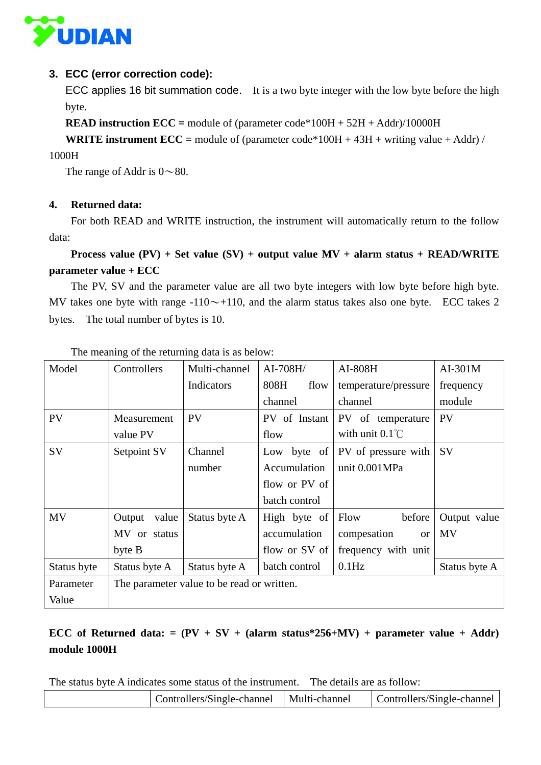

### **3. ECC (error correction code):**

ECC applies 16 bit summation code. It is a two byte integer with the low byte before the high byte.

**READ instruction ECC =** module of (parameter code\*100H + 52H + Addr)/10000H

**WRITE instrument ECC =** module of (parameter code\*100H + 43H + writing value + Addr) /

1000H

The range of Addr is  $0 \sim 80$ .

#### **4. Returned data:**

For both READ and WRITE instruction, the instrument will automatically return to the follow data:

```
Process value (PV) + Set value (SV) + output value MV + alarm status + READ/WRITE 
parameter value + ECC
```
The PV, SV and the parameter value are all two byte integers with low byte before high byte. MV takes one byte with range  $-110 \sim +110$ , and the alarm status takes also one byte. ECC takes 2 bytes. The total number of bytes is 10.

| Model       | Controllers     | Multi-channel                              | AI-708H/      | AI-808H                   | $AI-301M$     |
|-------------|-----------------|--------------------------------------------|---------------|---------------------------|---------------|
|             |                 | Indicators                                 | 808H<br>flow  | temperature/pressure      | frequency     |
|             |                 |                                            | channel       | channel                   | module        |
| PV          | Measurement     | <b>PV</b>                                  | PV of Instant | PV of temperature         | <b>PV</b>     |
|             | value PV        |                                            | flow          | with unit $0.1^{\circ}$ C |               |
| SV          | Setpoint SV     | Channel                                    | Low byte of   | PV of pressure with       | <b>SV</b>     |
|             |                 | number                                     | Accumulation  | unit 0.001MPa             |               |
|             |                 |                                            | flow or PV of |                           |               |
|             |                 |                                            | batch control |                           |               |
| MV          | value<br>Output | Status byte A                              | High byte of  | Flow<br>before            | Output value  |
|             | MV or status    |                                            | accumulation  | compesation<br><b>or</b>  | <b>MV</b>     |
|             | byte B          |                                            | flow or SV of | frequency with unit       |               |
| Status byte | Status byte A   | Status byte A                              | batch control | $0.1$ Hz                  | Status byte A |
| Parameter   |                 | The parameter value to be read or written. |               |                           |               |
| Value       |                 |                                            |               |                           |               |

The meaning of the returning data is as below:

# **ECC** of Returned data:  $= (PV + SV + (alarm status*256+MV) + parameter value + Addr)$ **module 1000H**

The status byte A indicates some status of the instrument. The details are as follow:

| Controllers/Single-channel   Multi-channel | Controllers/Single-channel |
|--------------------------------------------|----------------------------|
|                                            |                            |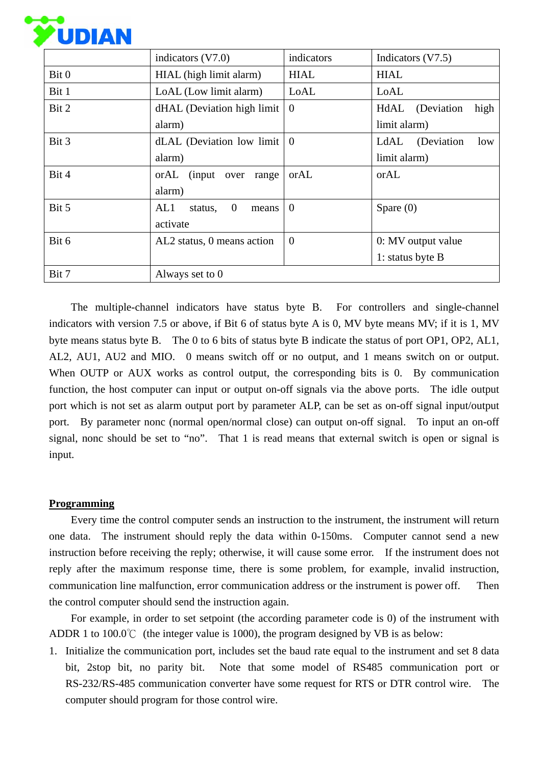

|       | indicators $(V7.0)$                         | indicators  | Indicators (V7.5)       |
|-------|---------------------------------------------|-------------|-------------------------|
| Bit 0 | HIAL (high limit alarm)                     | <b>HIAL</b> | <b>HIAL</b>             |
| Bit 1 | LoAL (Low limit alarm)                      | LoAL        | LoAL                    |
| Bit 2 | dHAL (Deviation high limit                  | $\theta$    | high<br>HdAL (Deviation |
|       | alarm)                                      |             | limit alarm)            |
| Bit 3 | dLAL (Deviation low limit $\vert 0 \rangle$ |             | LdAL (Deviation<br>low  |
|       | alarm)                                      |             | limit alarm)            |
| Bit 4 | orAL (input over<br>range                   | orAL        | orAL                    |
|       | alarm)                                      |             |                         |
| Bit 5 | $\mathbf{0}$<br>AL1<br>status,<br>means     | $\theta$    | Spare $(0)$             |
|       | activate                                    |             |                         |
| Bit 6 | AL2 status, 0 means action                  | $\theta$    | 0: MV output value      |
|       |                                             |             | 1: status byte B        |
| Bit 7 | Always set to 0                             |             |                         |

 The multiple-channel indicators have status byte B. For controllers and single-channel indicators with version 7.5 or above, if Bit 6 of status byte A is 0, MV byte means MV; if it is 1, MV byte means status byte B. The 0 to 6 bits of status byte B indicate the status of port OP1, OP2, AL1, AL2, AU1, AU2 and MIO. 0 means switch off or no output, and 1 means switch on or output. When OUTP or AUX works as control output, the corresponding bits is 0. By communication function, the host computer can input or output on-off signals via the above ports. The idle output port which is not set as alarm output port by parameter ALP, can be set as on-off signal input/output port. By parameter nonc (normal open/normal close) can output on-off signal. To input an on-off signal, nonc should be set to "no". That 1 is read means that external switch is open or signal is input.

### **Programming**

Every time the control computer sends an instruction to the instrument, the instrument will return one data. The instrument should reply the data within 0-150ms. Computer cannot send a new instruction before receiving the reply; otherwise, it will cause some error. If the instrument does not reply after the maximum response time, there is some problem, for example, invalid instruction, communication line malfunction, error communication address or the instrument is power off. Then the control computer should send the instruction again.

For example, in order to set setpoint (the according parameter code is 0) of the instrument with ADDR 1 to 100.0℃ (the integer value is 1000), the program designed by VB is as below:

1. Initialize the communication port, includes set the baud rate equal to the instrument and set 8 data bit, 2stop bit, no parity bit. Note that some model of RS485 communication port or RS-232/RS-485 communication converter have some request for RTS or DTR control wire. The computer should program for those control wire.